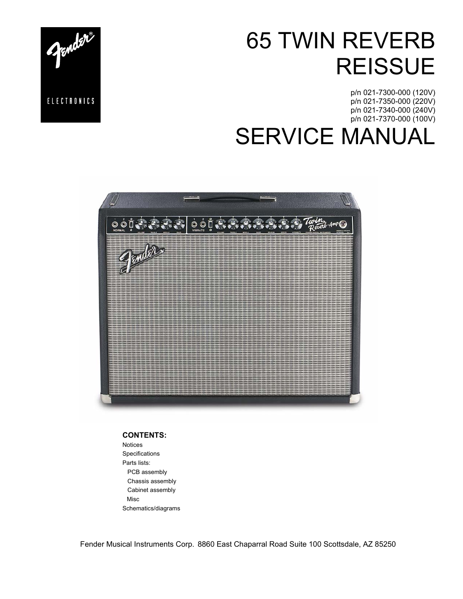# 65 TWIN REVERB **REISSUE**

p/n 021-7300-000 (120V) p/n 021-7350-000 (220V) p/n 021-7340-000 (240V) p/n 021-7370-000 (100V)

SERVICE MANUAL



**CONTENTS:**

Notices Specifications Parts lists: PCB assembly Chassis assembly Cabinet assembly Misc Schematics/diagrams

Fender Musical Instruments Corp. 8860 East Chaparral Road Suite 100 Scottsdale, AZ 85250

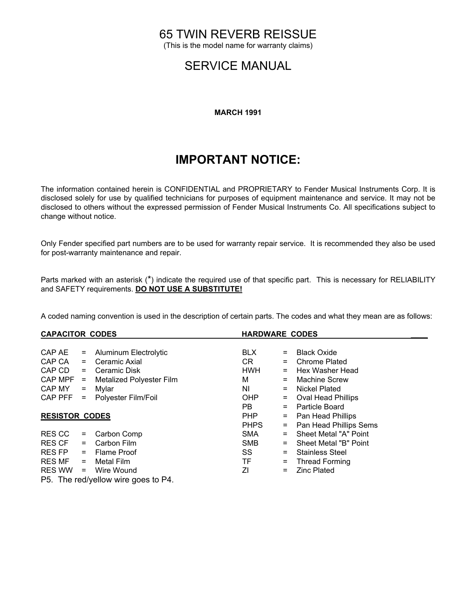## 65 TWIN REVERB REISSUE

(This is the model name for warranty claims)

## SERVICE MANUAL

#### **MARCH 1991**

## **IMPORTANT NOTICE:**

The information contained herein is CONFIDENTIAL and PROPRIETARY to Fender Musical Instruments Corp. It is disclosed solely for use by qualified technicians for purposes of equipment maintenance and service. It may not be disclosed to others without the expressed permission of Fender Musical Instruments Co. All specifications subject to change without notice.

Only Fender specified part numbers are to be used for warranty repair service. It is recommended they also be used for post-warranty maintenance and repair.

Parts marked with an asterisk (\*) indicate the required use of that specific part. This is necessary for RELIABILITY and SAFETY requirements. **DO NOT USE A SUBSTITUTE!**

A coded naming convention is used in the description of certain parts. The codes and what they mean are as follows:

| <b>CAPACITOR CODES</b> |          |                                                                                    |             | <b>HARDWARE CODES</b> |                           |  |
|------------------------|----------|------------------------------------------------------------------------------------|-------------|-----------------------|---------------------------|--|
|                        |          |                                                                                    |             |                       |                           |  |
| CAP AE                 | $\equiv$ | Aluminum Electrolytic                                                              | <b>BLX</b>  | $=$                   | <b>Black Oxide</b>        |  |
| CAP CA                 | $=$      | Ceramic Axial                                                                      | CR.         |                       | <b>Chrome Plated</b>      |  |
| CAP CD                 | $=$      | Ceramic Disk                                                                       | <b>HWH</b>  | $=$                   | Hex Washer Head           |  |
| CAP MPF                | $\equiv$ | <b>Metalized Polyester Film</b>                                                    | м           |                       | <b>Machine Screw</b>      |  |
| CAP MY                 | $\equiv$ | Mylar                                                                              | NI.         | $=$                   | Nickel Plated             |  |
| CAP PFF                | $=$      | Polyester Film/Foil                                                                | OHP         | =                     | <b>Oval Head Phillips</b> |  |
|                        |          |                                                                                    | PB.         | $=$                   | Particle Board            |  |
| <b>RESISTOR CODES</b>  |          |                                                                                    | <b>PHP</b>  | =                     | Pan Head Phillips         |  |
|                        |          |                                                                                    | <b>PHPS</b> | =                     | Pan Head Phillips Sems    |  |
| <b>RESCC</b>           | $\equiv$ | Carbon Comp                                                                        | <b>SMA</b>  |                       | Sheet Metal "A" Point     |  |
| <b>RES CF</b>          | $=$      | Carbon Film                                                                        | <b>SMB</b>  |                       | Sheet Metal "B" Point     |  |
| <b>RES FP</b>          | $=$      | <b>Flame Proof</b>                                                                 | SS          | $=$                   | <b>Stainless Steel</b>    |  |
| <b>RES MF</b>          | $=$      | Metal Film                                                                         | TF          | $=$                   | <b>Thread Forming</b>     |  |
| RES WW                 | $=$      | Wire Wound                                                                         | ΖI          | =                     | <b>Zinc Plated</b>        |  |
|                        |          | $\mathsf{D}\mathsf{F}$ . The seal set of the second second $\mathsf{D}\mathcal{A}$ |             |                       |                           |  |

P5. The red/yellow wire goes to P4.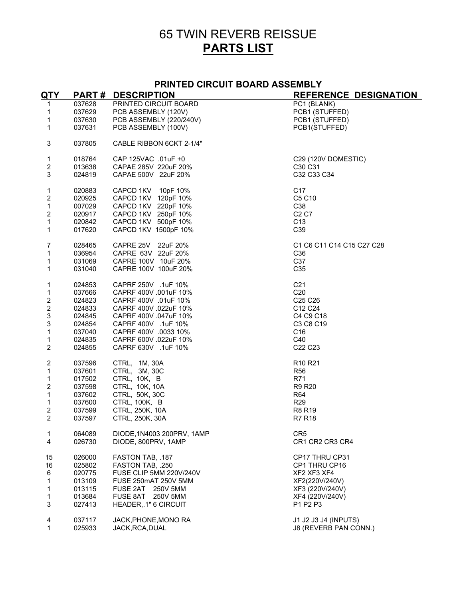# 65 TWIN REVERB REISSUE **PARTS LIST**

#### **PRINTED CIRCUIT BOARD ASSEMBLY**

| <b>QTY</b>              |        | <b>PART# DESCRIPTION</b>   | <b>REFERENCE DESIGNATION</b>    |
|-------------------------|--------|----------------------------|---------------------------------|
| $\mathbf{1}$            | 037628 | PRINTED CIRCUIT BOARD      | PC1 (BLANK)                     |
| 1                       | 037629 | PCB ASSEMBLY (120V)        | PCB1 (STUFFED)                  |
| 1                       | 037630 | PCB ASSEMBLY (220/240V)    | PCB1 (STUFFED)                  |
| $\mathbf{1}$            | 037631 | PCB ASSEMBLY (100V)        | PCB1(STUFFED)                   |
| 3                       | 037805 | CABLE RIBBON 6CKT 2-1/4"   |                                 |
| 1                       | 018764 | CAP 125VAC .01uF +0        | C29 (120V DOMESTIC)             |
| $\overline{c}$          | 013638 | CAPAE 285V 220uF 20%       | C30 C31                         |
| 3                       | 024819 | CAPAE 500V 22uF 20%        | C32 C33 C34                     |
| $\mathbf{1}$            | 020883 | CAPCD 1KV 10pF 10%         | C <sub>17</sub>                 |
| $\overline{c}$          | 020925 | CAPCD 1KV 120pF 10%        | C5 C10                          |
| $\mathbf{1}$            | 007029 | CAPCD 1KV 220pF 10%        | C38                             |
| $\overline{\mathbf{c}}$ | 020917 | CAPCD 1KV 250pF 10%        | C <sub>2</sub> C <sub>7</sub>   |
| 1                       | 020842 | CAPCD 1KV 500pF 10%        | C <sub>13</sub>                 |
| $\mathbf{1}$            | 017620 | CAPCD 1KV 1500pF 10%       | C39                             |
| $\overline{7}$          | 028465 | CAPRE 25V 22uF 20%         | C1 C6 C11 C14 C15 C27 C28       |
| 1                       | 036954 | CAPRE 63V 22uF 20%         | C <sub>36</sub>                 |
| 1                       | 031069 | CAPRE 100V 10uF 20%        | C37                             |
| 1                       | 031040 | CAPRE 100V 100uF 20%       | C35                             |
| 1                       | 024853 | CAPRF 250V .1uF 10%        | C <sub>21</sub>                 |
| $\mathbf{1}$            | 037666 | CAPRF 400V .001uF 10%      | C <sub>20</sub>                 |
| $\overline{\mathbf{c}}$ | 024823 | CAPRF 400V .01uF 10%       | C25 C26                         |
| $\overline{\mathbf{c}}$ | 024833 | CAPRF 400V .022uF 10%      | C12 C24                         |
| 3                       | 024845 | CAPRF 400V .047uF 10%      | C4 C9 C18                       |
| 3                       | 024854 | CAPRF 400V .1uF 10%        | C3 C8 C19                       |
| $\mathbf{1}$            | 037040 | CAPRF 400V .0033 10%       | C <sub>16</sub>                 |
| 1                       | 024835 | CAPRF 600V .022uF 10%      | C40                             |
| $\overline{2}$          | 024855 | CAPRF 630V .1uF 10%        | C22 C23                         |
| $\overline{\mathbf{c}}$ | 037596 | CTRL, 1M, 30A              | R <sub>10</sub> R <sub>21</sub> |
| 1                       | 037601 | CTRL, 3M, 30C              | R <sub>56</sub>                 |
| $\mathbf{1}$            | 017502 | CTRL, 10K, B               | R71                             |
| $\overline{\mathbf{c}}$ | 037598 | CTRL, 10K, 10A             | <b>R9 R20</b>                   |
| 1                       | 037602 | CTRL, 50K, 30C             | R64                             |
| 1                       | 037600 | <b>CTRL, 100K, B</b>       | R <sub>29</sub>                 |
| $\overline{\mathbf{c}}$ | 037599 | CTRL, 250K, 10A            | R8 R19                          |
| $\overline{2}$          | 037597 | CTRL, 250K, 30A            | R7 R18                          |
| 1                       | 064089 | DIODE, 1N4003 200PRV, 1AMP | CR <sub>5</sub>                 |
| $\overline{4}$          | 026730 | DIODE, 800PRV, 1AMP        | CR1 CR2 CR3 CR4                 |
| 15                      | 026000 | FASTON TAB, .187           | CP17 THRU CP31                  |
| 16                      | 025802 | FASTON TAB, .250           | CP1 THRU CP16                   |
| 6                       | 020775 | FUSE CLIP 5MM 220V/240V    | XF2 XF3 XF4                     |
| 1                       | 013109 | FUSE 250mAT 250V 5MM       | XF2(220V/240V)                  |
| 1                       | 013115 | FUSE 2AT 250V 5MM          | XF3 (220V/240V)                 |
| $\mathbf{1}$            | 013684 | FUSE 8AT 250V 5MM          | XF4 (220V/240V)                 |
| 3                       | 027413 | HEADER, 1" 6 CIRCUIT       | P1 P2 P3                        |
| 4                       | 037117 | JACK, PHONE, MONO RA       | J1 J2 J3 J4 (INPUTS)            |
| 1                       | 025933 | JACK, RCA, DUAL            | J8 (REVERB PAN CONN.)           |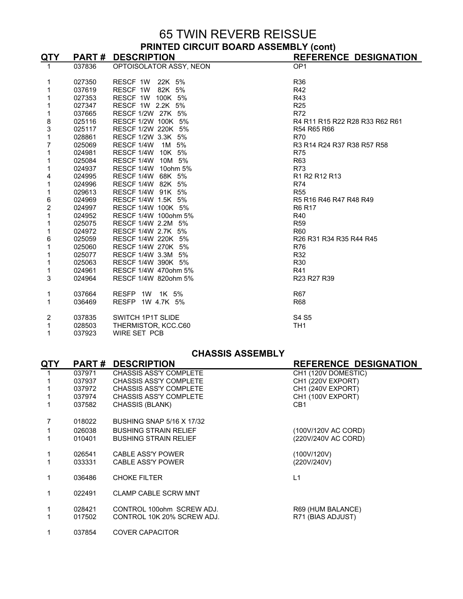### 65 TWIN REVERB REISSUE **PRINTED CIRCUIT BOARD ASSEMBLY (cont)**

| <u>QTY_</u>             |        | <b>PART# DESCRIPTION</b> | <b>REFERENCE DESIGNATION</b>                                                                    |
|-------------------------|--------|--------------------------|-------------------------------------------------------------------------------------------------|
|                         | 037836 | OPTOISOLATOR ASSY, NEON  | OP <sub>1</sub>                                                                                 |
|                         |        |                          |                                                                                                 |
| 1                       | 027350 | RESCF 1W 22K 5%          | R36                                                                                             |
| 1                       | 037619 | RESCF 1W 82K 5%          | R42                                                                                             |
| 1                       | 027353 | RESCF 1W 100K 5%         | R43                                                                                             |
| 1                       | 027347 | RESCF 1W 2.2K 5%         | <b>R25</b>                                                                                      |
| 1                       | 037665 | RESCF 1/2W 27K 5%        | <b>R72</b>                                                                                      |
| $\frac{8}{3}$           | 025116 | RESCF 1/2W 100K 5%       | R4 R11 R15 R22 R28 R33 R62 R61                                                                  |
|                         | 025117 | RESCF 1/2W 220K 5%       | R54 R65 R66                                                                                     |
| 1                       | 028861 | RESCF 1/2W 3.3K 5%       | <b>R70</b>                                                                                      |
| 7                       | 025069 | RESCF 1/4W<br>1M 5%      | R3 R14 R24 R37 R38 R57 R58                                                                      |
| 1                       | 024981 | RESCF 1/4W 10K 5%        | <b>R75</b>                                                                                      |
| 1                       | 025084 | RESCF 1/4W 10M 5%        | R63                                                                                             |
| 1                       | 024937 | RESCF 1/4W 10ohm 5%      | <b>R73</b>                                                                                      |
| 4                       | 024995 | RESCF 1/4W 68K 5%        | R1 R2 R12 R13                                                                                   |
| 1                       | 024996 | RESCF 1/4W 82K 5%        | <b>R74</b>                                                                                      |
| 1                       | 029613 | RESCF 1/4W 91K 5%        | <b>R55</b>                                                                                      |
| 6                       | 024969 | RESCF 1/4W 1.5K 5%       | R5 R16 R46 R47 R48 R49                                                                          |
| $\overline{\mathbf{c}}$ | 024997 | RESCF 1/4W 100K 5%       | R6 R17                                                                                          |
| 1                       | 024952 | RESCF 1/4W 100ohm 5%     | R40                                                                                             |
| 1                       | 025075 | RESCF 1/4W 2.2M 5%       | <b>R59</b>                                                                                      |
| 1                       | 024972 | RESCF 1/4W 2.7K 5%       | <b>R60</b>                                                                                      |
| 6                       | 025059 | RESCF 1/4W 220K 5%       | R <sub>26</sub> R <sub>31</sub> R <sub>34</sub> R <sub>35</sub> R <sub>44</sub> R <sub>45</sub> |
| 1                       | 025060 | RESCF 1/4W 270K 5%       | <b>R76</b>                                                                                      |
| 1                       | 025077 | RESCF 1/4W 3.3M 5%       | R32                                                                                             |
| 1                       | 025063 | RESCF 1/4W 390K 5%       | R30                                                                                             |
| 1                       | 024961 | RESCF 1/4W 470ohm 5%     | R41                                                                                             |
| 3                       | 024964 | RESCF 1/4W 820ohm 5%     | R23 R27 R39                                                                                     |
|                         |        |                          |                                                                                                 |
| 1                       | 037664 | RESFP 1W 1K 5%           | <b>R67</b>                                                                                      |
| 1                       | 036469 | RESFP 1W 4.7K 5%         | <b>R68</b>                                                                                      |
|                         |        |                          |                                                                                                 |
| 2                       | 037835 | SWITCH 1P1T SLIDE        | S4 S5                                                                                           |
| 1                       | 028503 | THERMISTOR, KCC.C60      | TH <sub>1</sub>                                                                                 |
| 1                       | 037923 | WIRE SET PCB             |                                                                                                 |

#### **CHASSIS ASSEMBLY**

| QTY | <b>PART#</b> | <b>DESCRIPTION</b>               | <b>REFERENCE DESIGNATION</b> |
|-----|--------------|----------------------------------|------------------------------|
|     | 037971       | <b>CHASSIS ASS'Y COMPLETE</b>    | CH1 (120V DOMESTIC)          |
|     | 037937       | <b>CHASSIS ASS'Y COMPLETE</b>    | CH1 (220V EXPORT)            |
|     | 037972       | <b>CHASSIS ASS'Y COMPLETE</b>    | CH1 (240V EXPORT)            |
|     | 037974       | CHASSIS ASS'Y COMPLETE           | CH1 (100V EXPORT)            |
|     | 037582       | CHASSIS (BLANK)                  | CB1                          |
|     | 018022       | <b>BUSHING SNAP 5/16 X 17/32</b> |                              |
|     | 026038       | <b>BUSHING STRAIN RELIEF</b>     | (100V/120V AC CORD)          |
|     | 010401       | <b>BUSHING STRAIN RELIEF</b>     | (220V/240V AC CORD)          |
|     |              |                                  |                              |
|     | 026541       | CABLE ASS'Y POWER                | (100V/120V)                  |
|     | 033331       | <b>CABLE ASS'Y POWER</b>         | (220V/240V)                  |
|     |              |                                  |                              |
|     | 036486       | <b>CHOKE FILTER</b>              | L1                           |
|     |              |                                  |                              |
|     | 022491       | <b>CLAMP CABLE SCRW MNT</b>      |                              |
|     | 028421       | CONTROL 1000hm SCREW ADJ.        | R69 (HUM BALANCE)            |
|     | 017502       | CONTROL 10K 20% SCREW ADJ.       | R71 (BIAS ADJUST)            |
|     |              |                                  |                              |
|     | 037854       | <b>COVER CAPACITOR</b>           |                              |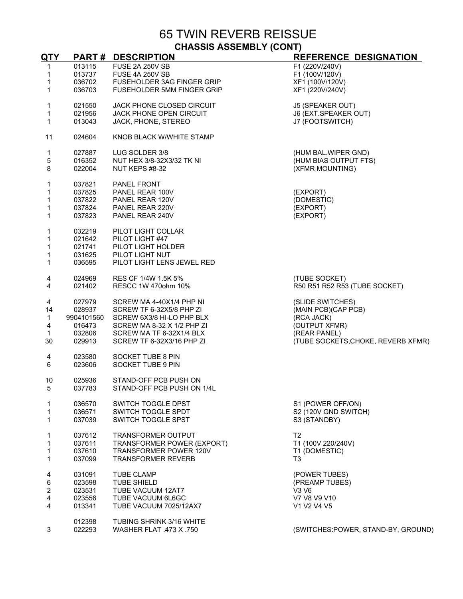65 TWIN REVERB REISSUE **CHASSIS ASSEMBLY (CONT)**

| QTY                     | <b>PART#</b> | <b>DESCRIPTION</b>             | REFERENCE DESIGNATION              |
|-------------------------|--------------|--------------------------------|------------------------------------|
| 1                       | 013115       | <b>FUSE 2A 250V SB</b>         | F1 (220V/240V)                     |
| 1                       | 013737       | <b>FUSE 4A 250V SB</b>         | F1 (100V/120V)                     |
| 1                       | 036702       | FUSEHOLDER 3AG FINGER GRIP     | XF1 (100V/120V)                    |
| 1                       | 036703       | FUSEHOLDER 5MM FINGER GRIP     | XF1 (220V/240V)                    |
|                         |              |                                |                                    |
| 1                       | 021550       | JACK PHONE CLOSED CIRCUIT      | J5 (SPEAKER OUT)                   |
| 1                       | 021956       | <b>JACK PHONE OPEN CIRCUIT</b> | J6 (EXT.SPEAKER OUT)               |
| $\mathbf{1}$            | 013043       | JACK, PHONE, STEREO            | J7 (FOOTSWITCH)                    |
|                         |              |                                |                                    |
| 11                      | 024604       | KNOB BLACK W/WHITE STAMP       |                                    |
| 1                       | 027887       | LUG SOLDER 3/8                 | (HUM BAL.WIPER GND)                |
| 5                       | 016352       | NUT HEX 3/8-32X3/32 TK NI      | (HUM BIAS OUTPUT FTS)              |
| 8                       | 022004       | NUT KEPS #8-32                 | (XFMR MOUNTING)                    |
|                         |              |                                |                                    |
| 1                       | 037821       | <b>PANEL FRONT</b>             |                                    |
| 1                       | 037825       | PANEL REAR 100V                | (EXPORT)                           |
| 1                       | 037822       | PANEL REAR 120V                | (DOMESTIC)                         |
| 1                       | 037824       | PANEL REAR 220V                | (EXPORT)                           |
| 1                       | 037823       | PANEL REAR 240V                | (EXPORT)                           |
|                         |              |                                |                                    |
| 1                       | 032219       | PILOT LIGHT COLLAR             |                                    |
| 1                       | 021642       | PILOT LIGHT #47                |                                    |
| 1                       | 021741       | PILOT LIGHT HOLDER             |                                    |
| 1                       | 031625       | PILOT LIGHT NUT                |                                    |
| 1                       | 036595       | PILOT LIGHT LENS JEWEL RED     |                                    |
|                         |              |                                |                                    |
| 4                       | 024969       | RES CF 1/4W 1.5K 5%            | (TUBE SOCKET)                      |
| 4                       | 021402       | RESCC 1W 470ohm 10%            | R50 R51 R52 R53 (TUBE SOCKET)      |
| $\overline{\mathbf{4}}$ | 027979       | SCREW MA 4-40X1/4 PHP NI       | (SLIDE SWITCHES)                   |
| 14                      | 028937       | SCREW TF 6-32X5/8 PHP ZI       | (MAIN PCB)(CAP PCB)                |
| 1                       | 9904101560   | SCREW 6X3/8 HI-LO PHP BLX      | (RCA JACK)                         |
| 4                       | 016473       | SCREW MA 8-32 X 1/2 PHP ZI     | (OUTPUT XFMR)                      |
| $\mathbf{1}$            | 032806       | SCREW MA TF 6-32X1/4 BLX       | (REAR PANEL)                       |
|                         |              |                                |                                    |
| 30                      | 029913       | SCREW TF 6-32X3/16 PHP ZI      | (TUBE SOCKETS, CHOKE, REVERB XFMR) |
| 4                       | 023580       | SOCKET TUBE 8 PIN              |                                    |
| 6                       | 023606       | SOCKET TUBE 9 PIN              |                                    |
|                         |              |                                |                                    |
| 10                      | 025936       | STAND-OFF PCB PUSH ON          |                                    |
| 5                       | 037783       | STAND-OFF PCB PUSH ON 1/4L     |                                    |
|                         |              |                                |                                    |
| 1                       | 036570       | SWITCH TOGGLE DPST             | S1 (POWER OFF/ON)                  |
| 1                       | 036571       | SWITCH TOGGLE SPDT             | S2 (120V GND SWITCH)               |
| 1                       | 037039       | SWITCH TOGGLE SPST             | S3 (STANDBY)                       |
| 1                       | 037612       | <b>TRANSFORMER OUTPUT</b>      | T <sub>2</sub>                     |
| 1                       | 037611       | TRANSFORMER POWER (EXPORT)     | T1 (100V 220/240V)                 |
| 1                       | 037610       | TRANSFORMER POWER 120V         | T1 (DOMESTIC)                      |
| 1                       | 037099       | <b>TRANSFORMER REVERB</b>      | T <sub>3</sub>                     |
|                         |              |                                |                                    |
| 4                       | 031091       | <b>TUBE CLAMP</b>              | (POWER TUBES)                      |
| 6                       | 023598       | <b>TUBE SHIELD</b>             | (PREAMP TUBES)                     |
| $\overline{2}$          | 023531       | TUBE VACUUM 12AT7              | V3 V6                              |
| 4                       | 023556       | TUBE VACUUM 6L6GC              | V7 V8 V9 V10                       |
| 4                       | 013341       | TUBE VACUUM 7025/12AX7         | V1 V2 V4 V5                        |
|                         |              |                                |                                    |
|                         | 012398       | TUBING SHRINK 3/16 WHITE       |                                    |
| 3                       | 022293       | WASHER FLAT .473 X .750        | (SWITCHES:POWER, STAND-BY, GROUND) |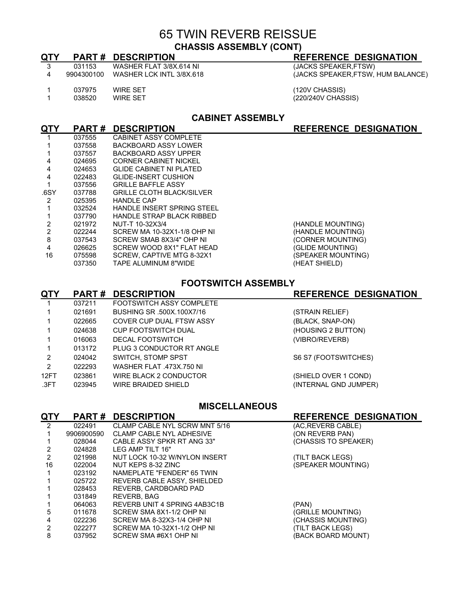## 65 TWIN REVERB REISSUE **CHASSIS ASSEMBLY (CONT)**

| QTY |                  | <b>PART# DESCRIPTION</b>                             | <b>REFERENCE DESIGNATION</b>         |
|-----|------------------|------------------------------------------------------|--------------------------------------|
| -3  | 031153           | WASHER FLAT 3/8X.614 NI                              | (JACKS SPEAKER, FTSW)                |
| 4   | 9904300100       | WASHER LCK INTL 3/8X.618                             | (JACKS SPEAKER, FTSW, HUM BALANCE)   |
|     | 037975<br>038520 | <b>WIRE SET</b><br>WIRE SET                          | (120V CHASSIS)<br>(220/240V CHASSIS) |
| nτv |                  | <b>CABINET ASSEMBLY</b><br><b>DART # DESCRIPTION</b> | REFERENCE DESIGNATION                |

| QTY  | <b>PART#</b> | <b>DESCRIPTION</b>                | <b>REFERENCE DESIGNATION</b> |
|------|--------------|-----------------------------------|------------------------------|
|      | 037555       | CABINET ASSY COMPLETE             |                              |
|      | 037558       | BACKBOARD ASSY LOWER              |                              |
|      | 037557       | BACKBOARD ASSY UPPER              |                              |
| 4    | 024695       | <b>CORNER CABINET NICKEL</b>      |                              |
| 4    | 024653       | <b>GLIDE CABINET NI PLATED</b>    |                              |
| 4    | 022483       | <b>GLIDE-INSERT CUSHION</b>       |                              |
|      | 037556       | <b>GRILLE BAFFLE ASSY</b>         |                              |
| .6SY | 037788       | <b>GRILLE CLOTH BLACK/SILVER</b>  |                              |
|      | 025395       | HANDI F CAP                       |                              |
|      | 032524       | <b>HANDLE INSERT SPRING STEEL</b> |                              |
|      | 037790       | HANDLE STRAP BLACK RIBBED         |                              |
|      | 021972       | NUT-T 10-32X3/4                   | (HANDLE MOUNTING)            |
|      | 022244       | SCREW MA 10-32X1-1/8 OHP NI       | (HANDLE MOUNTING)            |
| 8    | 037543       | SCREW SMAB 8X3/4" OHP NI          | (CORNER MOUNTING)            |
| 4    | 026625       | SCREW WOOD 8X1" FLAT HEAD         | (GLIDE MOUNTING)             |
| 16   | 075598       | SCREW. CAPTIVE MTG 8-32X1         | (SPEAKER MOUNTING)           |
|      | 037350       | TAPE ALUMINUM 8"WIDE              | (HEAT SHIELD)                |

#### **FOOTSWITCH ASSEMBLY**

| <b>QTY</b>    | <b>PART#</b> | <b>DESCRIPTION</b>              | <b>REFERENCE DESIGNATION</b> |
|---------------|--------------|---------------------------------|------------------------------|
|               | 037211       | <b>FOOTSWITCH ASSY COMPLETE</b> |                              |
|               | 021691       | BUSHING SR .500X.100X7/16       | (STRAIN RELIEF)              |
|               | 022665       | COVER CUP DUAL FTSW ASSY        | (BLACK, SNAP-ON)             |
|               | 024638       | <b>CUP FOOTSWITCH DUAL</b>      | (HOUSING 2 BUTTON)           |
|               | 016063       | <b>DECAL FOOTSWITCH</b>         | (VIBRO/REVERB)               |
|               | 013172       | PLUG 3 CONDUCTOR RT ANGLE       |                              |
| 2             | 024042       | SWITCH, STOMP SPST              | S6 S7 (FOOTSWITCHES)         |
| $\mathcal{P}$ | 022293       | WASHER FLAT .473X.750 NI        |                              |
| 12FT          | 023861       | WIRE BLACK 2 CONDUCTOR          | (SHIELD OVER 1 COND)         |
| .3FT          | 023945       | WIRE BRAIDED SHIELD             | (INTERNAL GND JUMPER)        |
|               |              |                                 |                              |

#### **MISCELLANEOUS**

|     | <b>MISCELLANEOUS</b> |                                 |                              |  |
|-----|----------------------|---------------------------------|------------------------------|--|
| QTY |                      | <b>PART# DESCRIPTION</b>        | <b>REFERENCE DESIGNATION</b> |  |
| 2   | 022491               | CLAMP CABLE NYL SCRW MNT 5/16   | (AC, REVERB CABLE)           |  |
|     | 9906900590           | <b>CLAMP CABLE NYL ADHESIVE</b> | (ON REVERB PAN)              |  |
|     | 028044               | CABLE ASSY SPKR RT ANG 33"      | (CHASSIS TO SPEAKER)         |  |
|     | 024828               | LEG AMP TILT 16"                |                              |  |
| 2   | 021998               | NUT LOCK 10-32 W/NYLON INSERT   | (TILT BACK LEGS)             |  |
| 16  | 022004               | NUT KEPS 8-32 ZINC              | (SPEAKER MOUNTING)           |  |
|     | 023192               | NAMEPLATE "FENDER" 65 TWIN      |                              |  |
|     | 025722               | REVERB CABLE ASSY, SHIELDED     |                              |  |
|     | 028453               | REVERB. CARDBOARD PAD           |                              |  |
|     | 031849               | REVERB, BAG                     |                              |  |
|     | 064063               | REVERB UNIT 4 SPRING 4AB3C1B    | (PAN)                        |  |
| 5   | 011678               | SCREW SMA 8X1-1/2 OHP NI        | (GRILLE MOUNTING)            |  |
| 4   | 022236               | SCREW MA 8-32X3-1/4 OHP NI      | (CHASSIS MOUNTING)           |  |
| 2   | 022277               | SCREW MA 10-32X1-1/2 OHP NI     | (TILT BACK LEGS)             |  |
| 8   | 037952               | SCREW SMA #6X1 OHP NI           | (BACK BOARD MOUNT)           |  |
|     |                      |                                 |                              |  |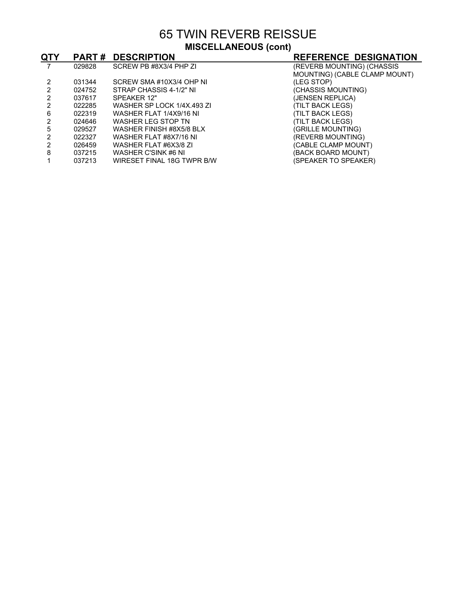65 TWIN REVERB REISSUE **MISCELLANEOUS (cont)**

| QTY |        | <b>PART # DESCRIPTION</b>  | <b>REFERENCE DESIGNATION</b>  |
|-----|--------|----------------------------|-------------------------------|
|     | 029828 | SCREW PB #8X3/4 PHP ZI     | (REVERB MOUNTING) (CHASSIS    |
|     |        |                            | MOUNTING) (CABLE CLAMP MOUNT) |
|     | 031344 | SCREW SMA #10X3/4 OHP NI   | (LEG STOP)                    |
|     | 024752 | STRAP CHASSIS 4-1/2" NI    | (CHASSIS MOUNTING)            |
|     | 037617 | SPEAKER 12"                | (JENSEN REPLICA)              |
|     | 022285 | WASHER SP LOCK 1/4X.493 ZI | (TILT BACK LEGS)              |
| 6   | 022319 | WASHER FLAT 1/4X9/16 NI    | (TILT BACK LEGS)              |
|     | 024646 | WASHER LEG STOP TN         | (TILT BACK LEGS)              |
| 5   | 029527 | WASHER FINISH #8X5/8 BLX   | (GRILLE MOUNTING)             |
|     | 022327 | WASHER FLAT #8X7/16 NI     | (REVERB MOUNTING)             |
|     | 026459 | WASHER FLAT #6X3/8 ZI      | (CABLE CLAMP MOUNT)           |
| 8   | 037215 | WASHER C'SINK #6 NI        | (BACK BOARD MOUNT)            |
|     | 037213 | WIRESET FINAL 18G TWPR B/W | (SPEAKER TO SPEAKER)          |
|     |        |                            |                               |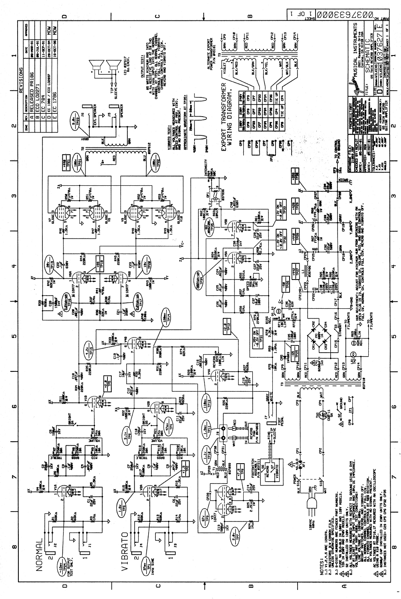